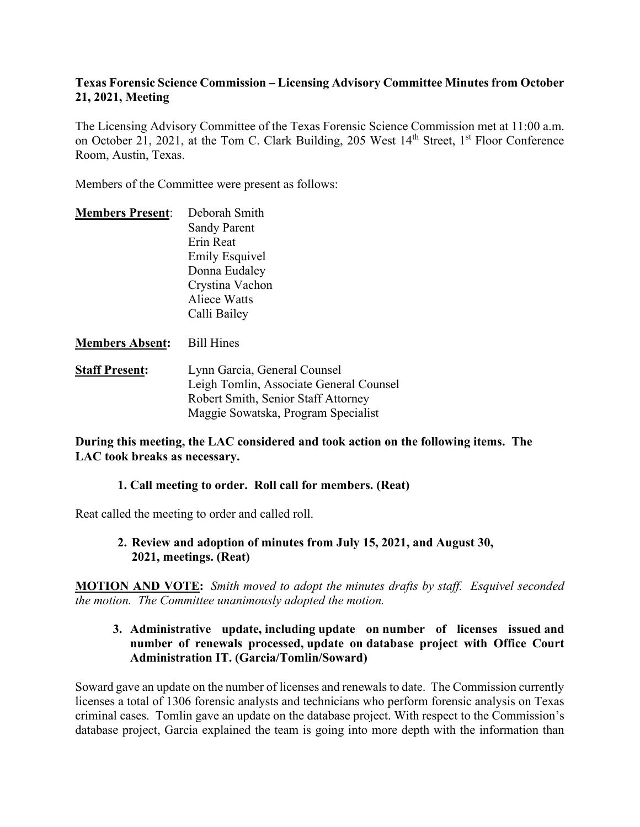### **Texas Forensic Science Commission – Licensing Advisory Committee Minutes from October 21, 2021, Meeting**

The Licensing Advisory Committee of the Texas Forensic Science Commission met at 11:00 a.m. on October 21, 2021, at the Tom C. Clark Building, 205 West 14<sup>th</sup> Street, 1<sup>st</sup> Floor Conference Room, Austin, Texas.

Members of the Committee were present as follows:

| <b>Members Present:</b> | Deborah Smith         |
|-------------------------|-----------------------|
|                         | <b>Sandy Parent</b>   |
|                         | Erin Reat             |
|                         | <b>Emily Esquivel</b> |
|                         | Donna Eudaley         |
|                         | Crystina Vachon       |
|                         | Aliece Watts          |
|                         | Calli Bailey          |
|                         |                       |

**Members Absent:** Bill Hines

**Staff Present:** Lynn Garcia, General Counsel Leigh Tomlin, Associate General Counsel Robert Smith, Senior Staff Attorney Maggie Sowatska, Program Specialist

#### **During this meeting, the LAC considered and took action on the following items. The LAC took breaks as necessary.**

## **1. Call meeting to order. Roll call for members. (Reat)**

Reat called the meeting to order and called roll.

**2. Review and adoption of minutes from July 15, 2021, and August 30, 2021, meetings. (Reat)**

**MOTION AND VOTE:** *Smith moved to adopt the minutes drafts by staff. Esquivel seconded the motion. The Committee unanimously adopted the motion.*

#### **3. Administrative update, including update on number of licenses issued and number of renewals processed, update on database project with Office Court Administration IT. (Garcia/Tomlin/Soward)**

Soward gave an update on the number of licenses and renewals to date. The Commission currently licenses a total of 1306 forensic analysts and technicians who perform forensic analysis on Texas criminal cases. Tomlin gave an update on the database project. With respect to the Commission's database project, Garcia explained the team is going into more depth with the information than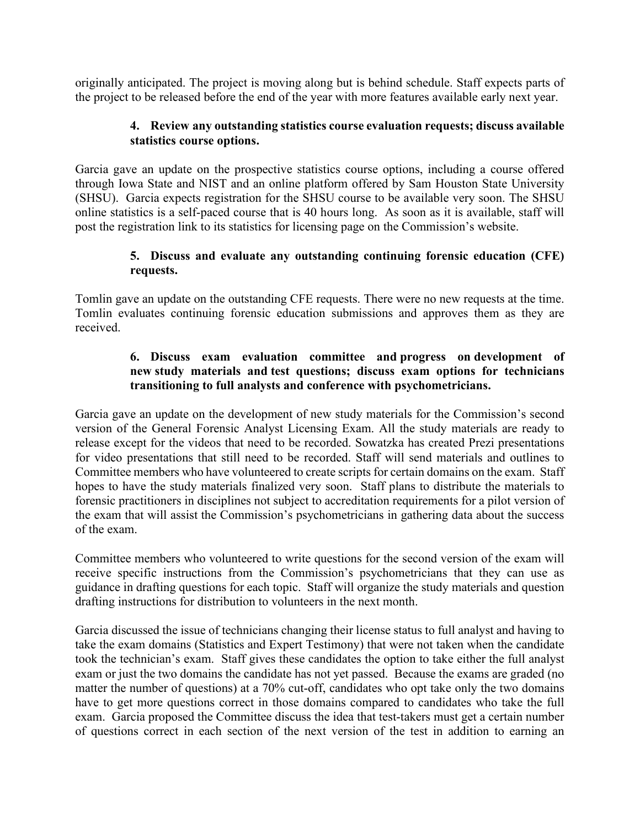originally anticipated. The project is moving along but is behind schedule. Staff expects parts of the project to be released before the end of the year with more features available early next year.

### **4. Review any outstanding statistics course evaluation requests; discuss available statistics course options.**

Garcia gave an update on the prospective statistics course options, including a course offered through Iowa State and NIST and an online platform offered by Sam Houston State University (SHSU). Garcia expects registration for the SHSU course to be available very soon. The SHSU online statistics is a self-paced course that is 40 hours long. As soon as it is available, staff will post the registration link to its statistics for licensing page on the Commission's website.

## **5. Discuss and evaluate any outstanding continuing forensic education (CFE) requests.**

Tomlin gave an update on the outstanding CFE requests. There were no new requests at the time. Tomlin evaluates continuing forensic education submissions and approves them as they are received.

## **6. Discuss exam evaluation committee and progress on development of new study materials and test questions; discuss exam options for technicians transitioning to full analysts and conference with psychometricians.**

Garcia gave an update on the development of new study materials for the Commission's second version of the General Forensic Analyst Licensing Exam. All the study materials are ready to release except for the videos that need to be recorded. Sowatzka has created Prezi presentations for video presentations that still need to be recorded. Staff will send materials and outlines to Committee members who have volunteered to create scripts for certain domains on the exam. Staff hopes to have the study materials finalized very soon. Staff plans to distribute the materials to forensic practitioners in disciplines not subject to accreditation requirements for a pilot version of the exam that will assist the Commission's psychometricians in gathering data about the success of the exam.

Committee members who volunteered to write questions for the second version of the exam will receive specific instructions from the Commission's psychometricians that they can use as guidance in drafting questions for each topic. Staff will organize the study materials and question drafting instructions for distribution to volunteers in the next month.

Garcia discussed the issue of technicians changing their license status to full analyst and having to take the exam domains (Statistics and Expert Testimony) that were not taken when the candidate took the technician's exam. Staff gives these candidates the option to take either the full analyst exam or just the two domains the candidate has not yet passed. Because the exams are graded (no matter the number of questions) at a 70% cut-off, candidates who opt take only the two domains have to get more questions correct in those domains compared to candidates who take the full exam. Garcia proposed the Committee discuss the idea that test-takers must get a certain number of questions correct in each section of the next version of the test in addition to earning an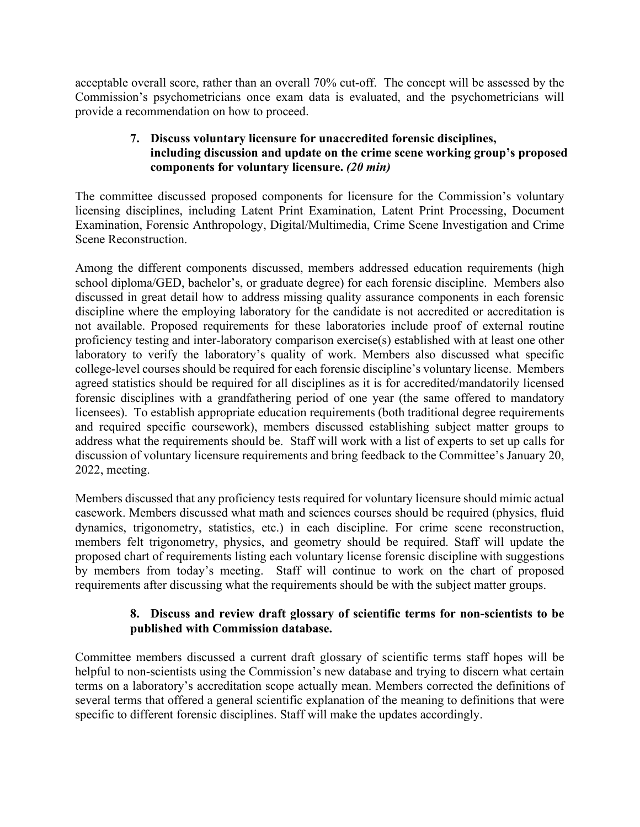acceptable overall score, rather than an overall 70% cut-off. The concept will be assessed by the Commission's psychometricians once exam data is evaluated, and the psychometricians will provide a recommendation on how to proceed.

## **7. Discuss voluntary licensure for unaccredited forensic disciplines, including discussion and update on the crime scene working group's proposed components for voluntary licensure.** *(20 min)*

The committee discussed proposed components for licensure for the Commission's voluntary licensing disciplines, including Latent Print Examination, Latent Print Processing, Document Examination, Forensic Anthropology, Digital/Multimedia, Crime Scene Investigation and Crime Scene Reconstruction.

Among the different components discussed, members addressed education requirements (high school diploma/GED, bachelor's, or graduate degree) for each forensic discipline. Members also discussed in great detail how to address missing quality assurance components in each forensic discipline where the employing laboratory for the candidate is not accredited or accreditation is not available. Proposed requirements for these laboratories include proof of external routine proficiency testing and inter-laboratory comparison exercise(s) established with at least one other laboratory to verify the laboratory's quality of work. Members also discussed what specific college-level courses should be required for each forensic discipline's voluntary license. Members agreed statistics should be required for all disciplines as it is for accredited/mandatorily licensed forensic disciplines with a grandfathering period of one year (the same offered to mandatory licensees). To establish appropriate education requirements (both traditional degree requirements and required specific coursework), members discussed establishing subject matter groups to address what the requirements should be. Staff will work with a list of experts to set up calls for discussion of voluntary licensure requirements and bring feedback to the Committee's January 20, 2022, meeting.

Members discussed that any proficiency tests required for voluntary licensure should mimic actual casework. Members discussed what math and sciences courses should be required (physics, fluid dynamics, trigonometry, statistics, etc.) in each discipline. For crime scene reconstruction, members felt trigonometry, physics, and geometry should be required. Staff will update the proposed chart of requirements listing each voluntary license forensic discipline with suggestions by members from today's meeting. Staff will continue to work on the chart of proposed requirements after discussing what the requirements should be with the subject matter groups.

## **8. Discuss and review draft glossary of scientific terms for non-scientists to be published with Commission database.**

Committee members discussed a current draft glossary of scientific terms staff hopes will be helpful to non-scientists using the Commission's new database and trying to discern what certain terms on a laboratory's accreditation scope actually mean. Members corrected the definitions of several terms that offered a general scientific explanation of the meaning to definitions that were specific to different forensic disciplines. Staff will make the updates accordingly.